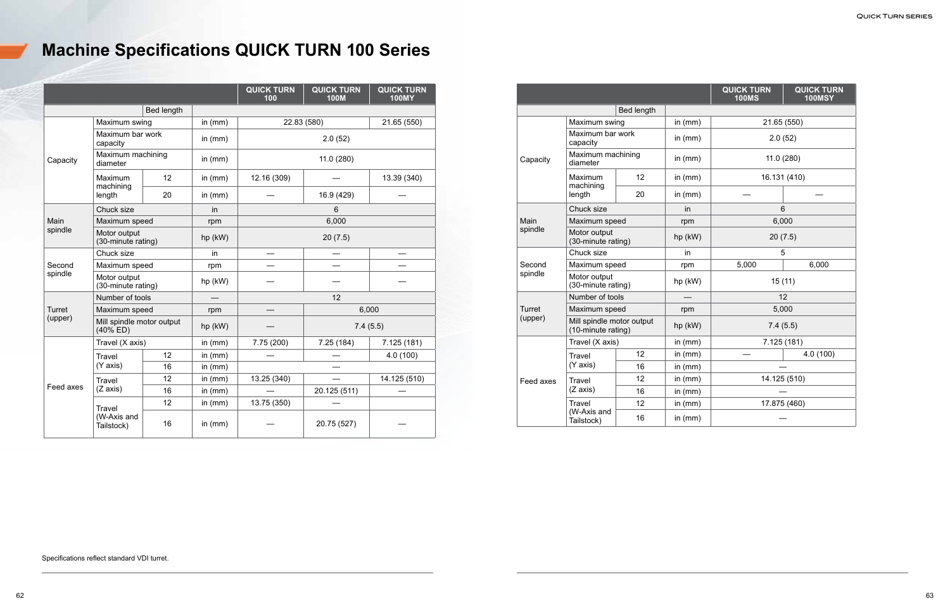|           |                                          |            |           | <b>QUICK TURN</b><br>100 | <b>QUICK TURN</b><br><b>100M</b> | <b>QUICK TURN</b><br><b>100MY</b> |  |
|-----------|------------------------------------------|------------|-----------|--------------------------|----------------------------------|-----------------------------------|--|
|           |                                          | Bed length |           |                          |                                  |                                   |  |
|           | Maximum swing                            |            | in $(mm)$ |                          | 22.83 (580)                      |                                   |  |
|           | Maximum bar work<br>capacity             |            | in $(mm)$ | 2.0(52)                  |                                  |                                   |  |
| Capacity  | Maximum machining<br>diameter            |            | in $(mm)$ | 11.0(280)                |                                  |                                   |  |
|           | Maximum<br>machining                     | 12         | in $(mm)$ | 12.16 (309)              |                                  | 13.39 (340)                       |  |
|           | length                                   | 20         | in $(mm)$ |                          | 16.9 (429)                       |                                   |  |
|           | Chuck size                               |            | in        |                          | 6                                |                                   |  |
| Main      | Maximum speed                            |            | rpm       | 6,000                    |                                  |                                   |  |
| spindle   | Motor output<br>(30-minute rating)       |            | hp (kW)   | 20(7.5)                  |                                  |                                   |  |
|           | Chuck size                               |            | in.       |                          |                                  |                                   |  |
| Second    | Maximum speed                            |            | rpm       |                          |                                  |                                   |  |
| spindle   | Motor output<br>(30-minute rating)       |            | hp (kW)   |                          |                                  |                                   |  |
|           | Number of tools                          |            |           | 12                       |                                  |                                   |  |
| Turret    | Maximum speed                            |            | rpm       | 6,000                    |                                  |                                   |  |
| (upper)   | Mill spindle motor output<br>$(40\%$ ED) |            | hp (kW)   |                          | 7.4(5.5)                         |                                   |  |
|           | Travel (X axis)                          |            | in $(mm)$ | 7.75 (200)               | 7.25(184)                        | 7.125(181)                        |  |
|           | <b>Travel</b>                            | 12         | in $(mm)$ |                          |                                  | 4.0 (100)                         |  |
|           | (Y axis)                                 | 16         | in $(mm)$ |                          |                                  |                                   |  |
|           | Travel                                   | 12         | in $(mm)$ | 13.25 (340)              |                                  | 14.125 (510)                      |  |
| Feed axes | (Z axis)                                 | 16         | in $(mm)$ |                          | 20.125 (511)                     |                                   |  |
|           | Travel                                   | 12         | in $(mm)$ | 13.75 (350)              |                                  |                                   |  |
|           | (W-Axis and<br>Tailstock)                | 16         | in $(mm)$ |                          | 20.75 (527)                      |                                   |  |

|           |                                                 |            |           | <b>QUICK TURN</b><br><b>100MS</b> | <b>QUICK TURN</b><br><b>100MSY</b> |
|-----------|-------------------------------------------------|------------|-----------|-----------------------------------|------------------------------------|
|           |                                                 | Bed length |           |                                   |                                    |
|           | Maximum swing                                   |            | in $(mm)$ | 21.65 (550)                       |                                    |
|           | Maximum bar work<br>capacity                    |            | in $(mm)$ |                                   | 2.0(52)                            |
| Capacity  | Maximum machining<br>diameter                   |            | in $(mm)$ | 11.0 (280)                        |                                    |
|           | Maximum<br>machining                            | 12         | in $(mm)$ | 16.131 (410)                      |                                    |
|           | length                                          | 20         | in $(mm)$ |                                   |                                    |
|           | Chuck size                                      |            | in        | 6                                 |                                    |
| Main      | Maximum speed                                   |            | rpm       | 6,000                             |                                    |
| spindle   | Motor output<br>(30-minute rating)              |            | hp (kW)   | 20(7.5)                           |                                    |
|           | Chuck size                                      |            | in        |                                   | 5                                  |
| Second    | Maximum speed                                   |            | rpm       | 5,000                             | 6,000                              |
| spindle   | Motor output<br>(30-minute rating)              |            | hp (kW)   | 15(11)                            |                                    |
|           | Number of tools                                 |            |           | 12                                |                                    |
| Turret    | Maximum speed                                   |            | rpm       | 5,000                             |                                    |
| (upper)   | Mill spindle motor output<br>(10-minute rating) |            | hp (kW)   | 7.4(5.5)                          |                                    |
|           | Travel (X axis)                                 |            | in $(mm)$ | 7.125 (181)                       |                                    |
|           | <b>Travel</b>                                   | 12         | in $(mm)$ |                                   | 4.0(100)                           |
|           | (Y axis)                                        | 16         | in $(mm)$ |                                   |                                    |
| Feed axes | Travel                                          | 12         | in $(mm)$ |                                   | 14.125 (510)                       |
|           | (Z axis)                                        | 16         | in $(mm)$ |                                   |                                    |
|           | Travel                                          | 12         | in $(mm)$ | 17.875 (460)                      |                                    |
|           | (W-Axis and<br>Tailstock)                       | 16         | in $(mm)$ |                                   |                                    |

## **Machine Specifications QUICK TURN 100 Series**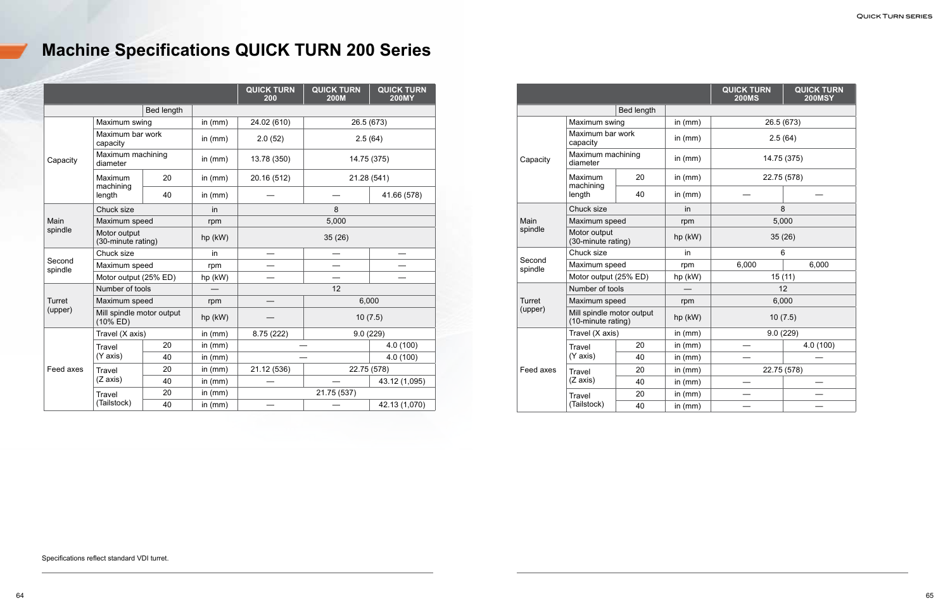|                   |                                          |                   |           | <b>QUICK TURN</b><br>200 | <b>QUICK TURN</b><br><b>200M</b> | <b>QUICK TURN</b><br><b>200MY</b> |
|-------------------|------------------------------------------|-------------------|-----------|--------------------------|----------------------------------|-----------------------------------|
|                   |                                          | <b>Bed length</b> |           |                          |                                  |                                   |
|                   | Maximum swing                            |                   | in $(mm)$ | 24.02 (610)              | 26.5 (673)                       |                                   |
| Capacity          | Maximum bar work<br>capacity             |                   | in $(mm)$ | 2.0(52)                  | 2.5(64)                          |                                   |
|                   | Maximum machining<br>diameter            |                   | in $(mm)$ | 13.78 (350)              | 14.75 (375)                      |                                   |
|                   | Maximum<br>machining                     | 20                | in $(mm)$ | 20.16 (512)              | 21.28 (541)                      |                                   |
|                   | length                                   | 40                | in $(mm)$ |                          |                                  | 41.66 (578)                       |
|                   | Chuck size                               |                   | in        | 8                        |                                  |                                   |
| Main              | Maximum speed                            |                   | rpm       | 5,000                    |                                  |                                   |
| spindle           | Motor output<br>(30-minute rating)       |                   | hp (kW)   | 35(26)                   |                                  |                                   |
|                   | Chuck size                               |                   | in        |                          |                                  |                                   |
| Second<br>spindle | Maximum speed                            |                   | rpm       |                          |                                  |                                   |
|                   | Motor output (25% ED)                    |                   | hp (kW)   |                          |                                  |                                   |
|                   | Number of tools                          |                   |           | 12                       |                                  |                                   |
| Turret            | Maximum speed                            |                   | rpm       |                          | 6,000                            |                                   |
| (upper)           | Mill spindle motor output<br>$(10\%$ ED) |                   | hp (kW)   |                          |                                  | 10(7.5)                           |
|                   | Travel (X axis)                          |                   | in $(mm)$ | 8.75 (222)               | 9.0(229)                         |                                   |
|                   | <b>Travel</b>                            | 20                | in $(mm)$ |                          |                                  | 4.0 (100)                         |
|                   | (Y axis)                                 | 40                | in $(mm)$ |                          |                                  | 4.0 (100)                         |
| Feed axes         | <b>Travel</b>                            | 20                | in $(mm)$ | 21.12 (536)              | 22.75 (578)                      |                                   |
|                   | (Z axis)                                 | 40                | in $(mm)$ |                          |                                  | 43.12 (1,095)                     |
|                   | <b>Travel</b>                            | 20                | in $(mm)$ |                          | 21.75 (537)                      |                                   |
|                   | (Tailstock)                              | 40                | in $(mm)$ |                          |                                  | 42.13 (1,070)                     |

|                   |                                                 |                   |           | <b>QUICK TURN</b><br><b>200MS</b> | <b>QUICK TURN</b><br><b>200MSY</b> |
|-------------------|-------------------------------------------------|-------------------|-----------|-----------------------------------|------------------------------------|
|                   |                                                 | <b>Bed length</b> |           |                                   |                                    |
|                   | Maximum swing                                   |                   | in $(mm)$ | 26.5 (673)                        |                                    |
|                   | Maximum bar work<br>capacity                    |                   | in $(mm)$ | 2.5(64)                           |                                    |
| Capacity          | Maximum machining<br>diameter                   |                   | in $(mm)$ |                                   | 14.75 (375)                        |
|                   | <b>Maximum</b>                                  | 20                | in $(mm)$ | 22.75 (578)                       |                                    |
|                   | machining<br>length                             | 40                | in $(mm)$ |                                   |                                    |
|                   | Chuck size                                      |                   | in        | 8                                 |                                    |
| Main              | Maximum speed                                   |                   | rpm       | 5,000                             |                                    |
| spindle           | Motor output<br>(30-minute rating)              |                   | hp (kW)   | 35(26)                            |                                    |
|                   | Chuck size                                      |                   | in        | 6                                 |                                    |
| Second<br>spindle | Maximum speed                                   |                   | rpm       | 6,000                             | 6,000                              |
|                   | Motor output (25% ED)                           |                   | hp (kW)   | 15(11)                            |                                    |
|                   | Number of tools                                 |                   |           | 12                                |                                    |
| Turret            | Maximum speed                                   |                   | rpm       | 6,000                             |                                    |
| (upper)           | Mill spindle motor output<br>(10-minute rating) |                   | hp (kW)   | 10(7.5)                           |                                    |
|                   | Travel (X axis)                                 |                   | in $(mm)$ | 9.0(229)                          |                                    |
|                   | <b>Travel</b>                                   | 20                | in $(mm)$ |                                   | 4.0 (100)                          |
|                   | (Y axis)                                        | 40                | in $(mm)$ |                                   |                                    |
| Feed axes         | <b>Travel</b>                                   | 20                | in $(mm)$ | 22.75 (578)                       |                                    |
|                   | (Z axis)                                        | 40                | in $(mm)$ |                                   |                                    |
|                   | Travel                                          | 20                | in $(mm)$ |                                   |                                    |
|                   | (Tailstock)                                     | 40                | in $(mm)$ |                                   |                                    |

# **Machine Specifications QUICK TURN 200 Series**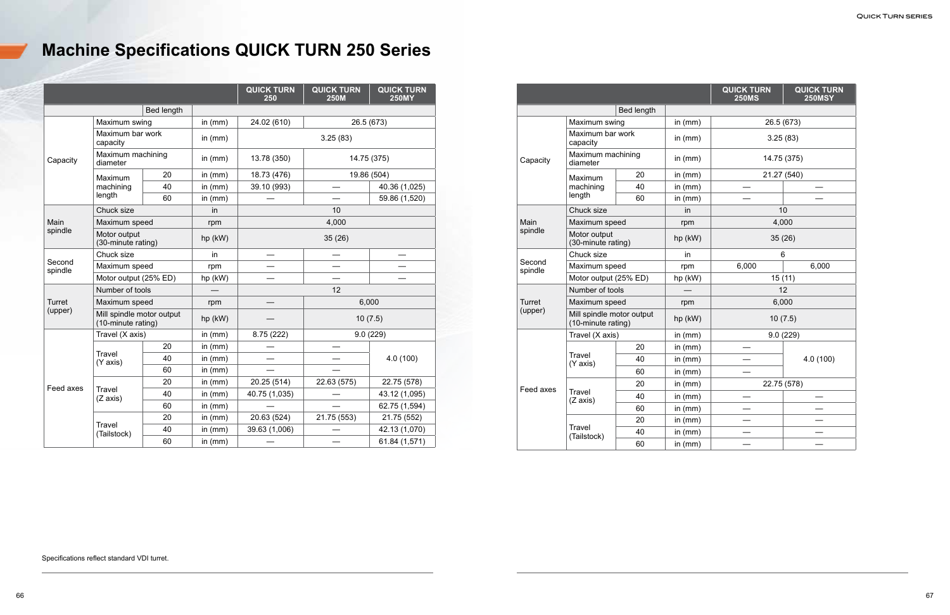|                   |                                                 |                   |           | <b>QUICK TURN</b><br>250 | <b>QUICK TURN</b><br><b>250M</b> | <b>QUICK TURN</b><br><b>250MY</b> |
|-------------------|-------------------------------------------------|-------------------|-----------|--------------------------|----------------------------------|-----------------------------------|
|                   |                                                 | <b>Bed length</b> |           |                          |                                  |                                   |
| Capacity          | Maximum swing                                   |                   | in $(mm)$ | 24.02 (610)              | 26.5 (673)                       |                                   |
|                   | Maximum bar work<br>capacity                    |                   | in $(mm)$ |                          | 3.25(83)                         |                                   |
|                   | Maximum machining<br>diameter                   |                   | in $(mm)$ | 13.78 (350)              | 14.75 (375)                      |                                   |
|                   | <b>Maximum</b>                                  | 20                | in $(mm)$ | 18.73 (476)              |                                  | 19.86 (504)                       |
|                   | machining                                       | 40                | in $(mm)$ | 39.10 (993)              |                                  | 40.36 (1,025)                     |
|                   | length                                          | 60                | in $(mm)$ |                          |                                  | 59.86 (1,520)                     |
|                   | Chuck size                                      |                   | in        |                          | 10                               |                                   |
| Main              | Maximum speed                                   |                   | rpm       |                          | 4,000                            |                                   |
| spindle           | Motor output<br>(30-minute rating)              |                   | hp (kW)   | 35(26)                   |                                  |                                   |
|                   | Chuck size                                      |                   | in        |                          |                                  |                                   |
| Second<br>spindle | Maximum speed                                   |                   | rpm       |                          |                                  |                                   |
|                   | Motor output (25% ED)                           |                   | hp (kW)   |                          |                                  |                                   |
|                   | Number of tools                                 |                   |           |                          | 12                               |                                   |
| <b>Turret</b>     | Maximum speed                                   |                   | rpm       |                          | 6,000                            |                                   |
| (upper)           | Mill spindle motor output<br>(10-minute rating) |                   | hp (kW)   |                          | 10(7.5)                          |                                   |
|                   | Travel (X axis)                                 |                   | in $(mm)$ | 8.75 (222)               |                                  | 9.0(229)                          |
|                   |                                                 | 20                | in $(mm)$ |                          |                                  |                                   |
|                   | Travel<br>(Y axis)                              | 40                | in $(mm)$ |                          |                                  | 4.0 (100)                         |
|                   |                                                 | 60                | in (mm)   |                          |                                  |                                   |
| Feed axes         |                                                 | 20                | in $(mm)$ | 20.25 (514)              | 22.63 (575)                      | 22.75 (578)                       |
|                   | <b>Travel</b><br>(Z axis)                       | 40                | in $(mm)$ | 40.75 (1,035)            |                                  | 43.12 (1,095)                     |
|                   |                                                 | 60                | in $(mm)$ |                          |                                  | 62.75 (1,594)                     |
|                   |                                                 | 20                | in $(mm)$ | 20.63 (524)              | 21.75 (553)                      | 21.75 (552)                       |
|                   | <b>Travel</b><br>(Tailstock)                    | 40                | in $(mm)$ | 39.63 (1,006)            |                                  | 42.13 (1,070)                     |
|                   |                                                 | 60                | in $(mm)$ |                          |                                  | 61.84 (1,571)                     |

|                   |                                                 |            |           | <b>QUICK TURN</b><br><b>250MS</b> | <b>QUICK TURN</b><br><b>250MSY</b> |
|-------------------|-------------------------------------------------|------------|-----------|-----------------------------------|------------------------------------|
|                   |                                                 | Bed length |           |                                   |                                    |
|                   | Maximum swing                                   |            | in $(mm)$ | 26.5 (673)                        |                                    |
|                   | Maximum bar work<br>capacity                    |            | in $(mm)$ |                                   | 3.25(83)                           |
| Capacity          | Maximum machining<br>diameter                   |            | in $(mm)$ | 14.75 (375)                       |                                    |
|                   | Maximum                                         | 20         | in $(mm)$ |                                   | 21.27 (540)                        |
|                   | machining                                       | 40         | in $(mm)$ |                                   |                                    |
|                   | length                                          | 60         | in $(mm)$ |                                   |                                    |
|                   | Chuck size                                      |            | in        |                                   | 10                                 |
| Main              | Maximum speed                                   |            | rpm       |                                   | 4,000                              |
| spindle           | Motor output<br>(30-minute rating)              |            | hp (kW)   | 35(26)                            |                                    |
|                   | Chuck size                                      |            | in        | 6                                 |                                    |
| Second<br>spindle | Maximum speed                                   |            | rpm       | 6,000                             | 6,000                              |
|                   | Motor output (25% ED)                           |            | hp (kW)   | 15(11)                            |                                    |
|                   | Number of tools                                 |            |           | 12                                |                                    |
| Turret            | Maximum speed                                   |            | rpm       | 6,000                             |                                    |
| (upper)           | Mill spindle motor output<br>(10-minute rating) |            | hp (kW)   | 10(7.5)                           |                                    |
|                   | Travel (X axis)                                 |            | in $(mm)$ |                                   | 9.0(229)                           |
|                   |                                                 | 20         | in $(mm)$ |                                   |                                    |
|                   | Travel<br>(Y axis)                              | 40         | in $(mm)$ |                                   | 4.0 (100)                          |
|                   |                                                 | 60         | in $(mm)$ |                                   |                                    |
| Feed axes         |                                                 | 20         | in (mm)   |                                   | 22.75 (578)                        |
|                   | <b>Travel</b><br>(Z axis)                       | 40         | in $(mm)$ |                                   |                                    |
|                   |                                                 | 60         | in $(mm)$ |                                   |                                    |
|                   |                                                 | 20         | in $(mm)$ |                                   |                                    |
|                   | <b>Travel</b><br>(Tailstock)                    | 40         | in $(mm)$ |                                   |                                    |
|                   |                                                 | 60         | in (mm)   |                                   |                                    |

# **Machine Specifications QUICK TURN 250 Series**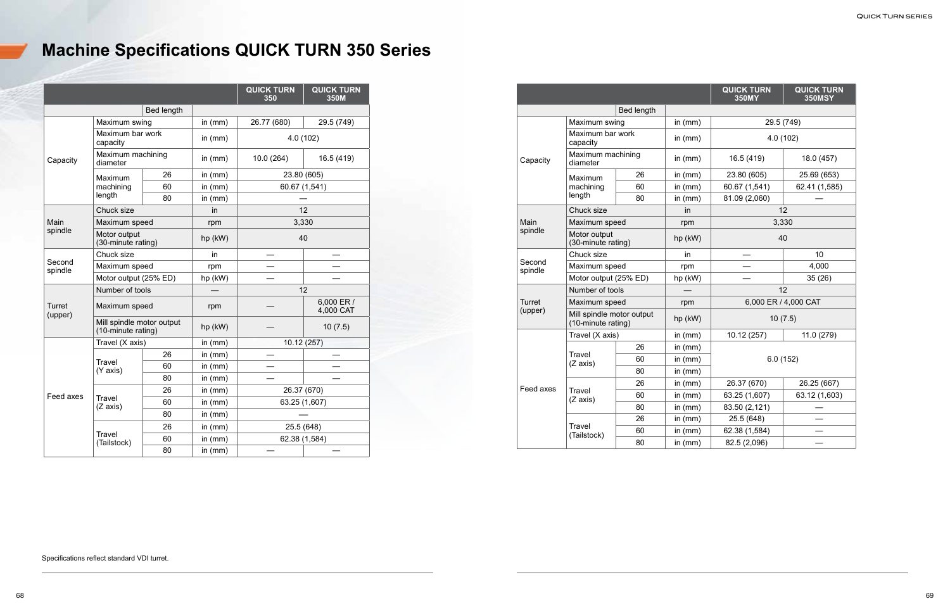|                   |                                                 |            |           | <b>QUICK TURN</b><br>350 | <b>QUICK TURN</b><br>350M |
|-------------------|-------------------------------------------------|------------|-----------|--------------------------|---------------------------|
|                   |                                                 | Bed length |           |                          |                           |
|                   | Maximum swing                                   |            | in $(mm)$ | 26.77 (680)              | 29.5 (749)                |
|                   | Maximum bar work<br>capacity                    |            | in $(mm)$ |                          | 4.0 (102)                 |
| Capacity          | Maximum machining<br>diameter                   |            | in (mm)   | 10.0(264)                | 16.5 (419)                |
|                   | Maximum                                         | 26         | in $(mm)$ | 23.80 (605)              |                           |
|                   | machining                                       | 60         | in $(mm)$ |                          | 60.67 (1,541)             |
|                   | length                                          | 80         | in $(mm)$ |                          |                           |
|                   | Chuck size                                      |            | in        |                          | 12                        |
| Main              | Maximum speed                                   |            | rpm       |                          | 3,330                     |
| spindle           | Motor output<br>(30-minute rating)              |            | hp (kW)   | 40                       |                           |
|                   | Chuck size                                      |            | in        |                          |                           |
| Second<br>spindle | Maximum speed                                   |            | rpm       |                          |                           |
|                   | Motor output (25% ED)                           |            | hp (kW)   |                          |                           |
|                   | Number of tools                                 |            |           | 12                       |                           |
| Turret<br>(upper) | Maximum speed                                   |            | rpm       |                          | 6,000 ER /<br>4,000 CAT   |
|                   | Mill spindle motor output<br>(10-minute rating) |            | hp (kW)   |                          | 10(7.5)                   |
|                   | Travel (X axis)                                 |            | in $(mm)$ | 10.12 (257)              |                           |
|                   |                                                 | 26         | in $(mm)$ |                          |                           |
|                   | <b>Travel</b><br>(Y axis)                       | 60         | in $(mm)$ |                          |                           |
|                   |                                                 | 80         | in (mm)   |                          |                           |
|                   |                                                 | 26         | in $(mm)$ |                          | 26.37 (670)               |
| Feed axes         | <b>Travel</b><br>(Z axis)                       | 60         | in $(mm)$ |                          | 63.25 (1,607)             |
|                   |                                                 | 80         | in $(mm)$ |                          |                           |
|                   |                                                 | 26         | in $(mm)$ |                          | 25.5 (648)                |
|                   | <b>Travel</b><br>(Tailstock)                    | 60         | in $(mm)$ |                          | 62.38 (1,584)             |
|                   |                                                 | 80         | in $(mm)$ |                          |                           |

|                   |                                                 |            |           | <b>QUICK TURN</b><br><b>350MY</b> | <b>QUICK TURN</b><br><b>350MSY</b> |
|-------------------|-------------------------------------------------|------------|-----------|-----------------------------------|------------------------------------|
|                   |                                                 | Bed length |           |                                   |                                    |
|                   | Maximum swing                                   |            | in $(mm)$ | 29.5 (749)                        |                                    |
|                   | Maximum bar work<br>capacity                    |            | in $(mm)$ |                                   | 4.0(102)                           |
| Capacity          | Maximum machining<br>diameter                   |            | in $(mm)$ | 16.5 (419)                        | 18.0 (457)                         |
|                   | Maximum                                         | 26         | in $(mm)$ | 23.80 (605)                       | 25.69 (653)                        |
|                   | machining                                       | 60         | in $(mm)$ | 60.67 (1,541)                     | 62.41 (1,585)                      |
|                   | length                                          | 80         | in $(mm)$ | 81.09 (2,060)                     |                                    |
|                   | Chuck size                                      |            | in        |                                   | 12                                 |
| Main              | Maximum speed                                   |            | rpm       |                                   | 3,330                              |
| spindle           | Motor output<br>(30-minute rating)              |            | hp (kW)   | 40                                |                                    |
|                   | Chuck size                                      |            | in        |                                   | 10                                 |
| Second<br>spindle | Maximum speed                                   |            | rpm       |                                   | 4,000                              |
|                   | Motor output (25% ED)                           |            | hp (kW)   |                                   | 35(26)                             |
|                   | Number of tools                                 |            |           | 12                                |                                    |
| <b>Turret</b>     | Maximum speed                                   |            | rpm       | 6,000 ER / 4,000 CAT              |                                    |
| (upper)           | Mill spindle motor output<br>(10-minute rating) |            | hp (kW)   | 10(7.5)                           |                                    |
|                   | Travel (X axis)                                 |            | in $(mm)$ | 10.12 (257)                       | 11.0 (279)                         |
|                   |                                                 | 26         | in $(mm)$ |                                   |                                    |
|                   | Travel<br>(Z axis)                              | 60         | in $(mm)$ | 6.0(152)                          |                                    |
|                   |                                                 | 80         | in $(mm)$ |                                   |                                    |
| Feed axes         |                                                 | 26         | in $(mm)$ | 26.37 (670)                       | 26.25 (667)                        |
|                   | Travel<br>(Z axis)                              | 60         | in $(mm)$ | 63.25 (1,607)                     | 63.12 (1,603)                      |
|                   |                                                 | 80         | in $(mm)$ | 83.50 (2,121)                     |                                    |
|                   |                                                 | 26         | in $(mm)$ | 25.5 (648)                        |                                    |
|                   | Travel<br>(Tailstock)                           | 60         | in $(mm)$ | 62.38 (1,584)                     |                                    |
|                   |                                                 | 80         | in $(mm)$ | 82.5 (2,096)                      |                                    |

# **Machine Specifications QUICK TURN 350 Series**